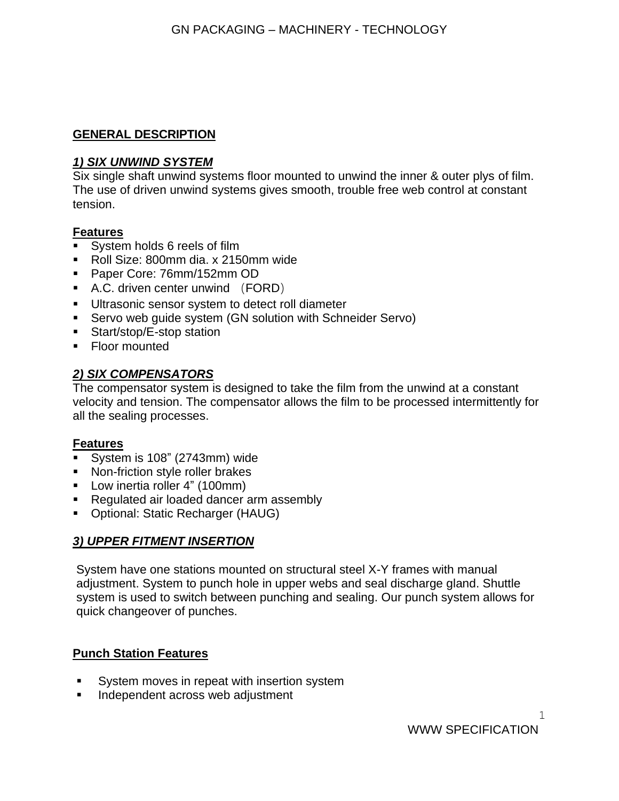#### **GENERAL DESCRIPTION**

#### *1) SIX UNWIND SYSTEM*

Six single shaft unwind systems floor mounted to unwind the inner & outer plys of film. The use of driven unwind systems gives smooth, trouble free web control at constant tension.

#### **Features**

- System holds 6 reels of film
- Roll Size: 800mm dia. x 2150mm wide
- Paper Core: 76mm/152mm OD
- A.C. driven center unwind (FORD)
- Ultrasonic sensor system to detect roll diameter
- Servo web quide system (GN solution with Schneider Servo)
- Start/stop/E-stop station
- Floor mounted

## *2) SIX COMPENSATORS*

The compensator system is designed to take the film from the unwind at a constant velocity and tension. The compensator allows the film to be processed intermittently for all the sealing processes.

## **Features**

- System is 108" (2743mm) wide
- Non-friction style roller brakes
- Low inertia roller 4" (100mm)
- Regulated air loaded dancer arm assembly
- Optional: Static Recharger (HAUG)

# *3) UPPER FITMENT INSERTION*

System have one stations mounted on structural steel X-Y frames with manual adjustment. System to punch hole in upper webs and seal discharge gland. Shuttle system is used to switch between punching and sealing. Our punch system allows for quick changeover of punches.

## **Punch Station Features**

- System moves in repeat with insertion system
- Independent across web adjustment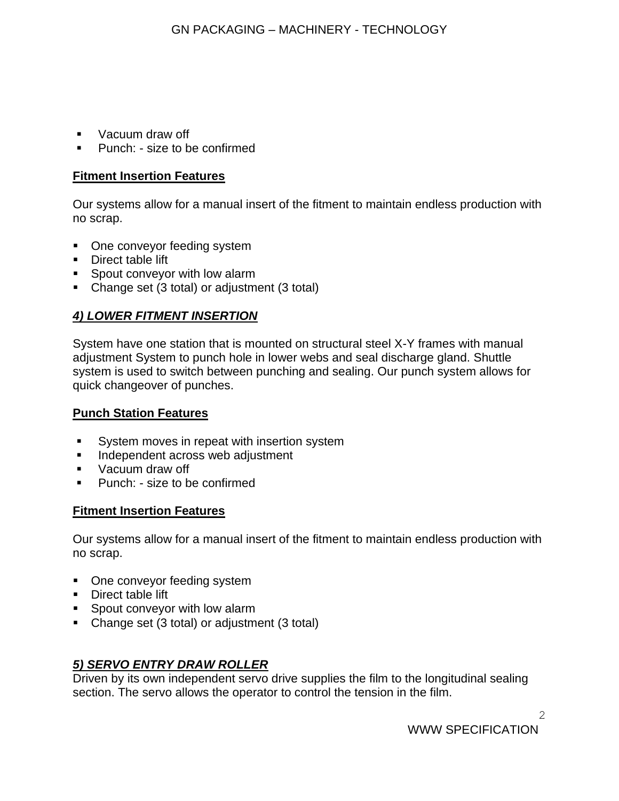- Vacuum draw off
- Punch: size to be confirmed

#### **Fitment Insertion Features**

Our systems allow for a manual insert of the fitment to maintain endless production with no scrap.

- One conveyor feeding system
- Direct table lift
- Spout conveyor with low alarm
- Change set (3 total) or adjustment (3 total)

# *4) LOWER FITMENT INSERTION*

System have one station that is mounted on structural steel X-Y frames with manual adjustment System to punch hole in lower webs and seal discharge gland. Shuttle system is used to switch between punching and sealing. Our punch system allows for quick changeover of punches.

## **Punch Station Features**

- System moves in repeat with insertion system
- **■** Independent across web adjustment
- Vacuum draw off
- Punch: size to be confirmed

## **Fitment Insertion Features**

Our systems allow for a manual insert of the fitment to maintain endless production with no scrap.

- One conveyor feeding system
- Direct table lift
- Spout conveyor with low alarm
- Change set (3 total) or adjustment (3 total)

## *5) SERVO ENTRY DRAW ROLLER*

Driven by its own independent servo drive supplies the film to the longitudinal sealing section. The servo allows the operator to control the tension in the film.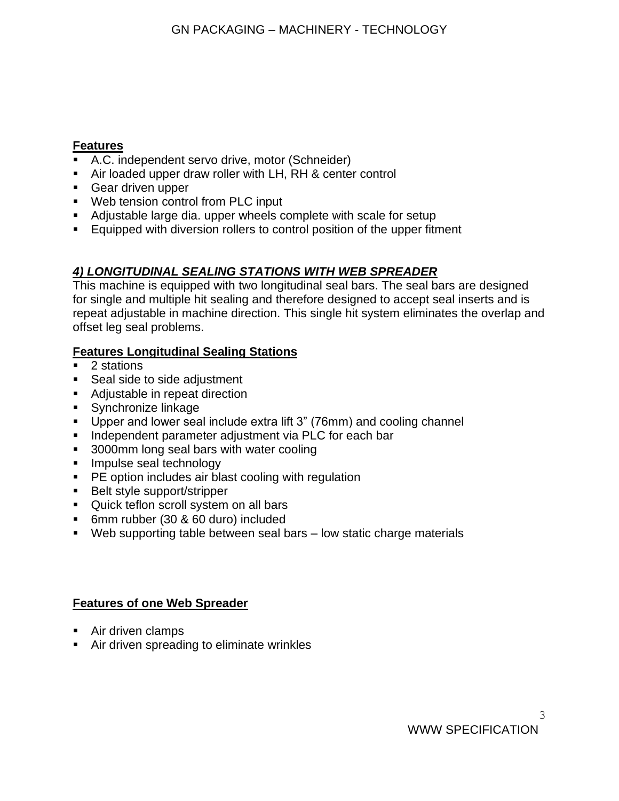## **Features**

- A.C. independent servo drive, motor (Schneider)
- Air loaded upper draw roller with LH, RH & center control
- Gear driven upper
- Web tension control from PLC input
- Adjustable large dia. upper wheels complete with scale for setup
- Equipped with diversion rollers to control position of the upper fitment

# *4) LONGITUDINAL SEALING STATIONS WITH WEB SPREADER*

This machine is equipped with two longitudinal seal bars. The seal bars are designed for single and multiple hit sealing and therefore designed to accept seal inserts and is repeat adjustable in machine direction. This single hit system eliminates the overlap and offset leg seal problems.

# **Features Longitudinal Sealing Stations**

- 2 stations
- Seal side to side adjustment
- Adjustable in repeat direction
- Synchronize linkage
- Upper and lower seal include extra lift 3" (76mm) and cooling channel
- Independent parameter adjustment via PLC for each bar
- 3000mm long seal bars with water cooling
- **·** Impulse seal technology
- PE option includes air blast cooling with regulation
- Belt style support/stripper
- Quick teflon scroll system on all bars
- 6mm rubber (30 & 60 duro) included
- Web supporting table between seal bars low static charge materials

# **Features of one Web Spreader**

- Air driven clamps
- Air driven spreading to eliminate wrinkles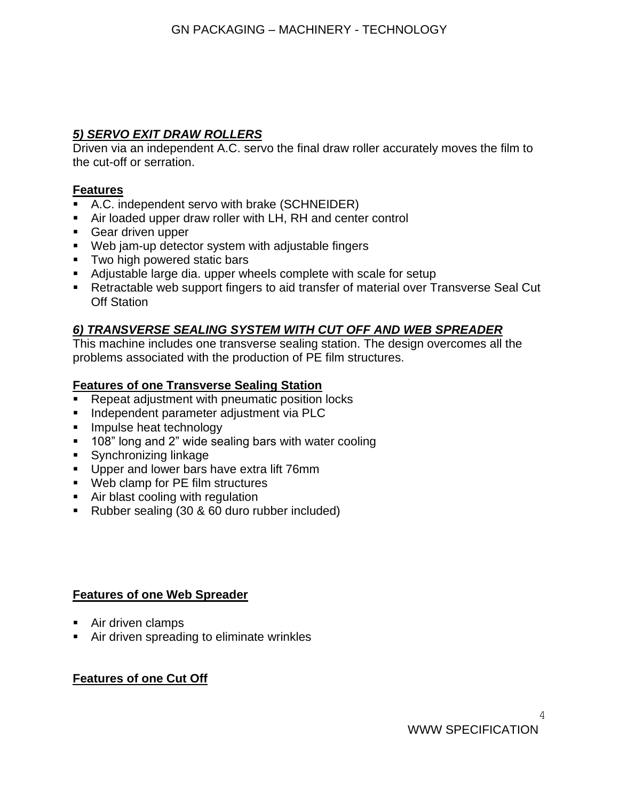# *5) SERVO EXIT DRAW ROLLERS*

Driven via an independent A.C. servo the final draw roller accurately moves the film to the cut-off or serration.

#### **Features**

- A.C. independent servo with brake (SCHNEIDER)
- Air loaded upper draw roller with LH, RH and center control
- Gear driven upper
- Web jam-up detector system with adjustable fingers
- Two high powered static bars
- Adjustable large dia. upper wheels complete with scale for setup
- Retractable web support fingers to aid transfer of material over Transverse Seal Cut Off Station

# *6) TRANSVERSE SEALING SYSTEM WITH CUT OFF AND WEB SPREADER*

This machine includes one transverse sealing station. The design overcomes all the problems associated with the production of PE film structures.

## **Features of one Transverse Sealing Station**

- Repeat adjustment with pneumatic position locks
- **■** Independent parameter adjustment via PLC
- **EXEC** Impulse heat technology
- 108" long and 2" wide sealing bars with water cooling
- Synchronizing linkage
- **•** Upper and lower bars have extra lift 76mm
- Web clamp for PE film structures
- Air blast cooling with regulation
- Rubber sealing (30 & 60 duro rubber included)

## **Features of one Web Spreader**

- Air driven clamps
- Air driven spreading to eliminate wrinkles

## **Features of one Cut Off**

4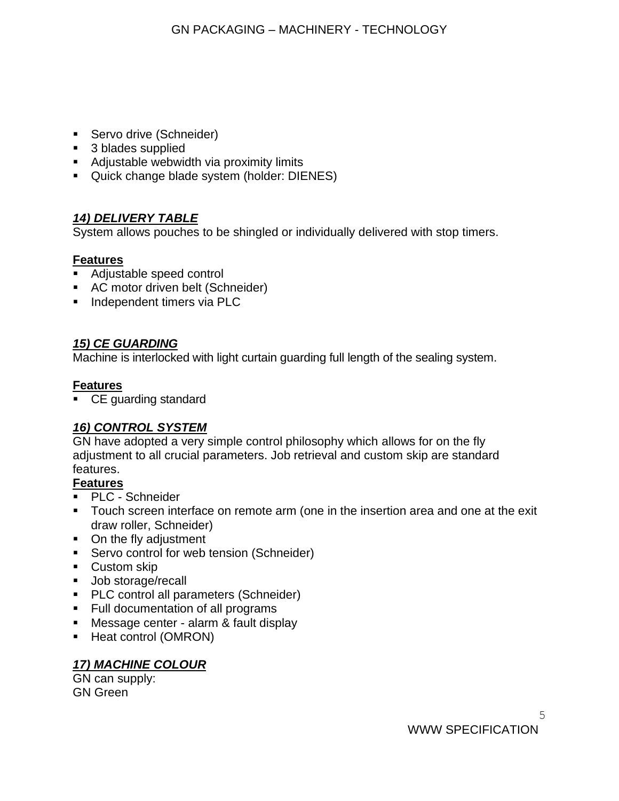- Servo drive (Schneider)
- 3 blades supplied
- Adjustable webwidth via proximity limits
- Quick change blade system (holder: DIENES)

# *14) DELIVERY TABLE*

System allows pouches to be shingled or individually delivered with stop timers.

# **Features**

- Adjustable speed control
- AC motor driven belt (Schneider)
- **·** Independent timers via PLC

## *15) CE GUARDING*

Machine is interlocked with light curtain guarding full length of the sealing system.

#### **Features**

■ CE guarding standard

# *16) CONTROL SYSTEM*

GN have adopted a very simple control philosophy which allows for on the fly adjustment to all crucial parameters. Job retrieval and custom skip are standard features.

## **Features**

- **PLC** Schneider
- **•** Touch screen interface on remote arm (one in the insertion area and one at the exit draw roller, Schneider)
- On the fly adjustment
- Servo control for web tension (Schneider)
- Custom skip
- Job storage/recall
- PLC control all parameters (Schneider)
- Full documentation of all programs
- Message center alarm & fault display
- Heat control (OMRON)

## *17) MACHINE COLOUR*

GN can supply: GN Green

WWW SPECIFICATION

5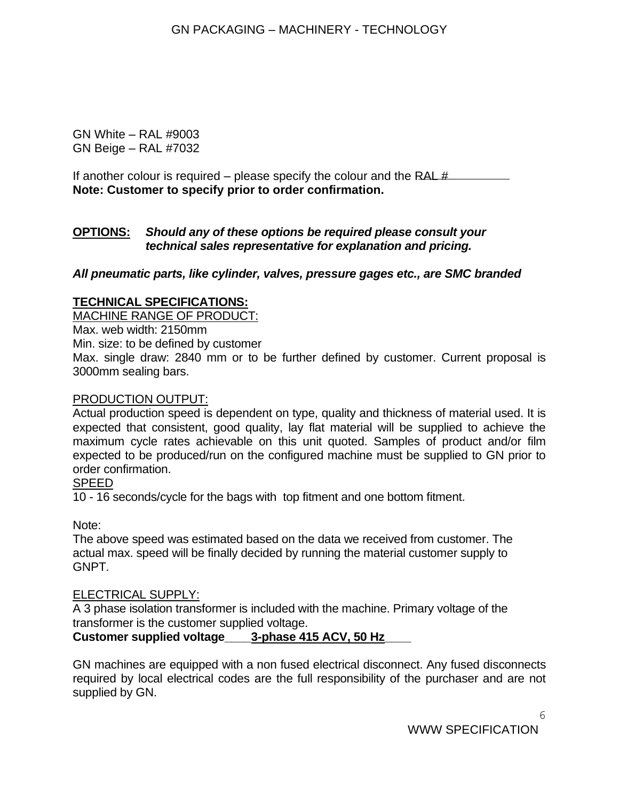GN White – RAL #9003 GN Beige – RAL #7032

If another colour is required – please specify the colour and the RAL  $\#$ **Note: Customer to specify prior to order confirmation.**

#### **OPTIONS:** *Should any of these options be required please consult your technical sales representative for explanation and pricing.*

*All pneumatic parts, like cylinder, valves, pressure gages etc., are SMC branded*

#### **TECHNICAL SPECIFICATIONS:**

MACHINE RANGE OF PRODUCT:

Max. web width: 2150mm Min. size: to be defined by customer Max. single draw: 2840 mm or to be further defined by customer. Current proposal is 3000mm sealing bars.

#### PRODUCTION OUTPUT:

Actual production speed is dependent on type, quality and thickness of material used. It is expected that consistent, good quality, lay flat material will be supplied to achieve the maximum cycle rates achievable on this unit quoted. Samples of product and/or film expected to be produced/run on the configured machine must be supplied to GN prior to order confirmation.

#### SPEED

10 - 16 seconds/cycle for the bags with top fitment and one bottom fitment.

Note:

The above speed was estimated based on the data we received from customer. The actual max. speed will be finally decided by running the material customer supply to GNPT.

## ELECTRICAL SUPPLY:

A 3 phase isolation transformer is included with the machine. Primary voltage of the transformer is the customer supplied voltage.

## **Customer supplied voltage\_\_\_\_3-phase 415 ACV, 50 Hz\_\_\_\_**

GN machines are equipped with a non fused electrical disconnect. Any fused disconnects required by local electrical codes are the full responsibility of the purchaser and are not supplied by GN.